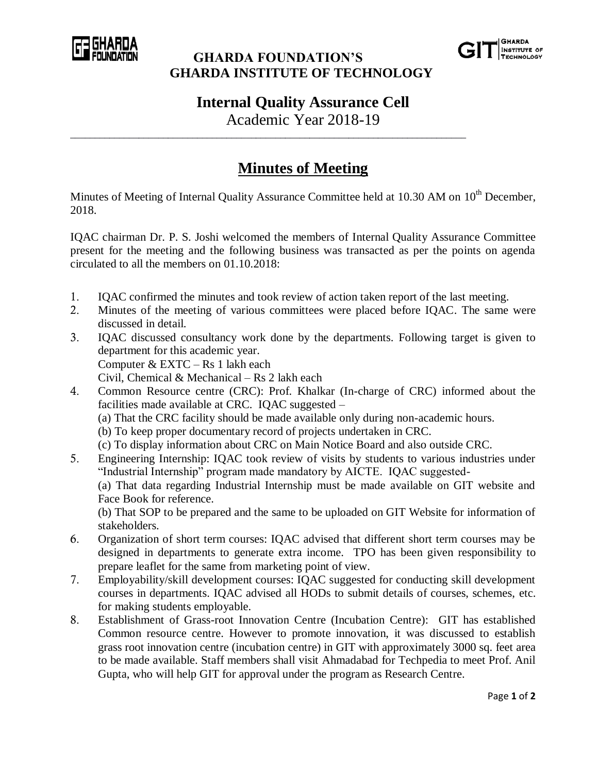

## **GHARDA FOUNDATION'S GHARDA INSTITUTE OF TECHNOLOGY**



## **Internal Quality Assurance Cell**

Academic Year 2018-19

\_\_\_\_\_\_\_\_\_\_\_\_\_\_\_\_\_\_\_\_\_\_\_\_\_\_\_\_\_\_\_\_\_\_\_\_\_\_\_\_\_\_\_\_\_\_\_\_\_\_\_\_\_\_\_\_\_\_\_\_\_\_\_\_\_\_\_\_\_\_\_\_\_\_\_\_\_\_\_\_\_

## **Minutes of Meeting**

Minutes of Meeting of Internal Quality Assurance Committee held at 10.30 AM on 10<sup>th</sup> December, 2018.

IQAC chairman Dr. P. S. Joshi welcomed the members of Internal Quality Assurance Committee present for the meeting and the following business was transacted as per the points on agenda circulated to all the members on 01.10.2018:

- 1. IQAC confirmed the minutes and took review of action taken report of the last meeting.
- 2. Minutes of the meeting of various committees were placed before IQAC. The same were discussed in detail.
- 3. IQAC discussed consultancy work done by the departments. Following target is given to department for this academic year. Computer & EXTC – Rs 1 lakh each Civil, Chemical & Mechanical – Rs 2 lakh each
- 4. Common Resource centre (CRC): Prof. Khalkar (In-charge of CRC) informed about the facilities made available at CRC. IQAC suggested – (a) That the CRC facility should be made available only during non-academic hours.
	- (b) To keep proper documentary record of projects undertaken in CRC.

(c) To display information about CRC on Main Notice Board and also outside CRC.

5. Engineering Internship: IQAC took review of visits by students to various industries under "Industrial Internship" program made mandatory by AICTE. IQAC suggested- (a) That data regarding Industrial Internship must be made available on GIT website and Face Book for reference. (b) That SOP to be prepared and the same to be uploaded on GIT Website for information of

stakeholders. 6. Organization of short term courses: IQAC advised that different short term courses may be

- designed in departments to generate extra income. TPO has been given responsibility to prepare leaflet for the same from marketing point of view.
- 7. Employability/skill development courses: IQAC suggested for conducting skill development courses in departments. IQAC advised all HODs to submit details of courses, schemes, etc. for making students employable.
- 8. Establishment of Grass-root Innovation Centre (Incubation Centre):GIT has established Common resource centre. However to promote innovation, it was discussed to establish grass root innovation centre (incubation centre) in GIT with approximately 3000 sq. feet area to be made available. Staff members shall visit Ahmadabad for Techpedia to meet Prof. Anil Gupta, who will help GIT for approval under the program as Research Centre.